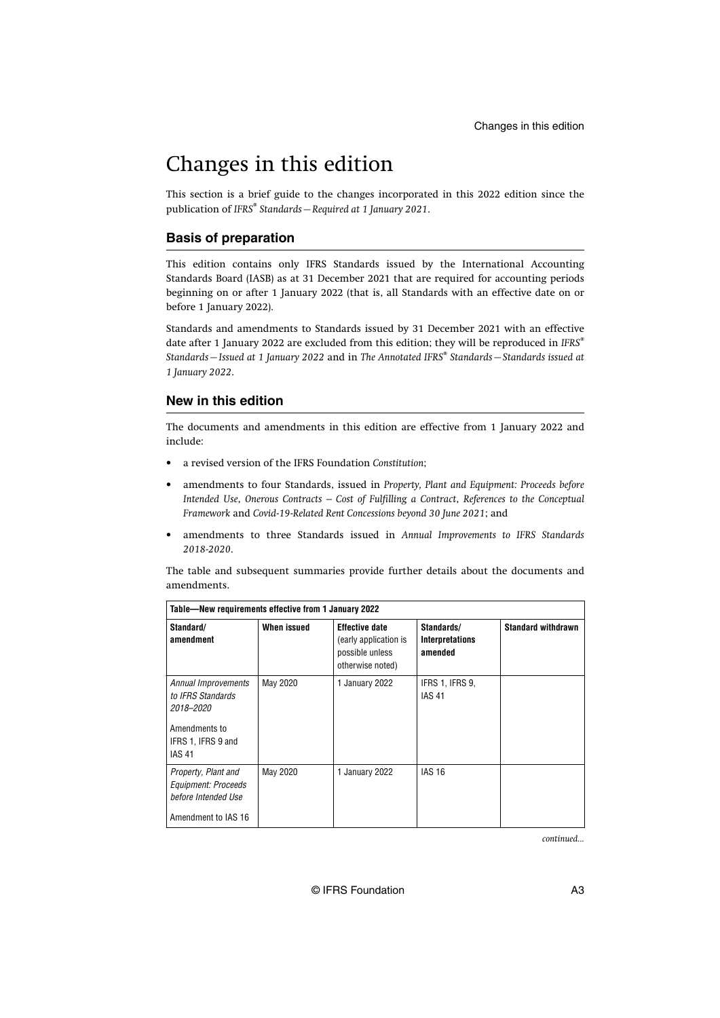This section is a brief guide to the changes incorporated in this 2022 edition since the publication of *IFRS® Standards—Required at 1 January 2021*.

#### **Basis of preparation**

This edition contains only IFRS Standards issued by the International Accounting Standards Board (IASB) as at 31 December 2021 that are required for accounting periods beginning on or after 1 January 2022 (that is, all Standards with an effective date on or before 1 January 2022).

Standards and amendments to Standards issued by 31 December 2021 with an effective date after 1 January 2022 are excluded from this edition; they will be reproduced in *IFRS® Standards—Issued at 1 January 2022* and in *The Annotated IFRS® Standards—Standards issued at 1 January 2022*.

#### **New in this edition**

The documents and amendments in this edition are effective from 1 January 2022 and include:

- a revised version of the IFRS Foundation *Constitution*;
- amendments to four Standards, issued in *Property, Plant and Equipment: Proceeds before Intended Use*, *Onerous Contracts – Cost of Fulfilling a Contract*, *References to the Conceptual Framework* and *Covid-19-Related Rent Concessions beyond 30 June 2021*; and
- amendments to three Standards issued in *Annual Improvements to IFRS Standards 2018-2020*.

The table and subsequent summaries provide further details about the documents and amendments.

| Table-New requirements effective from 1 January 2022                                                          |             |                                                                                       |                                                 |                           |
|---------------------------------------------------------------------------------------------------------------|-------------|---------------------------------------------------------------------------------------|-------------------------------------------------|---------------------------|
| Standard/<br>amendment                                                                                        | When issued | <b>Effective date</b><br>(early application is<br>possible unless<br>otherwise noted) | Standards/<br><b>Interpretations</b><br>amended | <b>Standard withdrawn</b> |
| Annual Improvements<br>to IFRS Standards<br>2018-2020<br>Amendments to<br>IFRS 1, IFRS 9 and<br><b>IAS 41</b> | May 2020    | 1 January 2022                                                                        | IFRS 1, IFRS 9,<br><b>IAS 41</b>                |                           |
| Property, Plant and<br>Equipment: Proceeds<br>before Intended Use<br>Amendment to IAS 16                      | May 2020    | 1 January 2022                                                                        | <b>IAS 16</b>                                   |                           |

*continued...*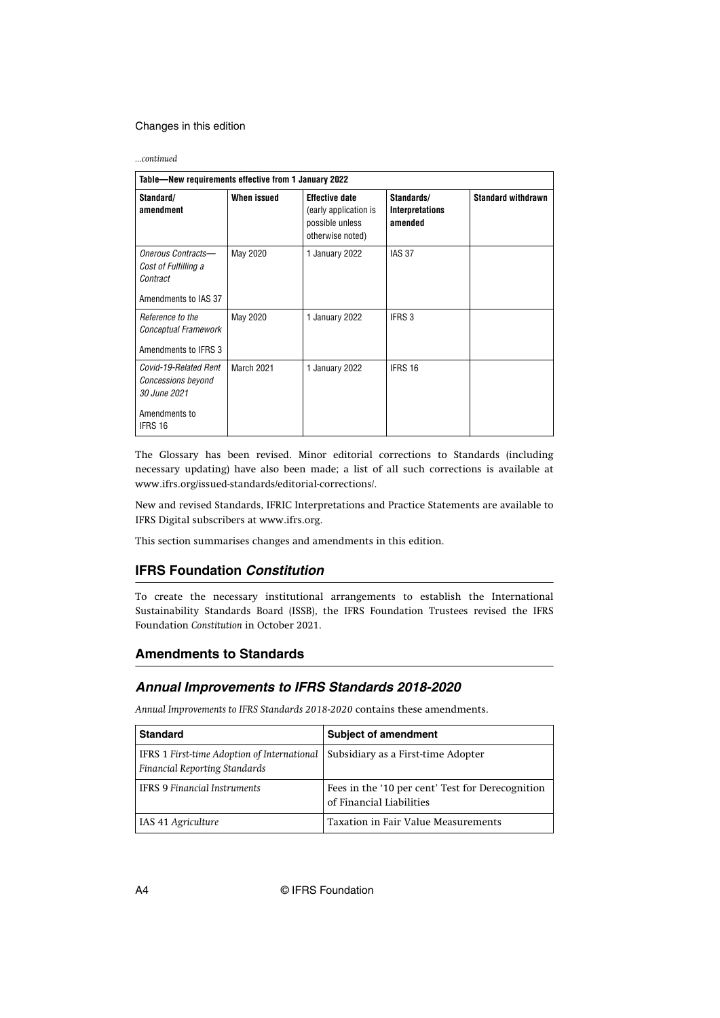*...continued*

| Table-New requirements effective from 1 January 2022                                    |             |                                                                                       |                                                 |                           |
|-----------------------------------------------------------------------------------------|-------------|---------------------------------------------------------------------------------------|-------------------------------------------------|---------------------------|
| Standard/<br>amendment                                                                  | When issued | <b>Effective date</b><br>(early application is<br>possible unless<br>otherwise noted) | Standards/<br><b>Interpretations</b><br>amended | <b>Standard withdrawn</b> |
| Onerous Contracts-<br>Cost of Fulfilling a<br>Contract<br>Amendments to IAS 37          | May 2020    | 1 January 2022                                                                        | <b>IAS 37</b>                                   |                           |
| Reference to the<br>Conceptual Framework<br>Amendments to IFRS 3                        | May 2020    | 1 January 2022                                                                        | IFRS 3                                          |                           |
| Covid-19-Related Rent<br>Concessions beyond<br>30 June 2021<br>Amendments to<br>IFRS 16 | March 2021  | 1 January 2022                                                                        | IFRS 16                                         |                           |

The Glossary has been revised. Minor editorial corrections to Standards (including necessary updating) have also been made; a list of all such corrections is available at [www.ifrs.org/issued-standards/editorial-corrections/](http://www.ifrs.org/issued-standards/editorial-corrections/).

New and revised Standards, IFRIC Interpretations and Practice Statements are available to IFRS Digital subscribers at [www.ifrs.org.](http://www.ifrs.org)

This section summarises changes and amendments in this edition.

# **IFRS Foundation Constitution**

To create the necessary institutional arrangements to establish the International Sustainability Standards Board (ISSB), the IFRS Foundation Trustees revised the IFRS Foundation *Constitution* in October 2021.

#### **Amendments to Standards**

# **Annual Improvements to IFRS Standards 2018-2020**

*Annual Improvements to IFRS Standards 2018-2020* contains these amendments.

| <b>Standard</b>                                                                     | <b>Subject of amendment</b>                                                  |
|-------------------------------------------------------------------------------------|------------------------------------------------------------------------------|
| IFRS 1 First-time Adoption of International<br><b>Financial Reporting Standards</b> | Subsidiary as a First-time Adopter                                           |
| <b>IFRS 9 Financial Instruments</b>                                                 | Fees in the '10 per cent' Test for Derecognition<br>of Financial Liabilities |
| IAS 41 Agriculture                                                                  | Taxation in Fair Value Measurements                                          |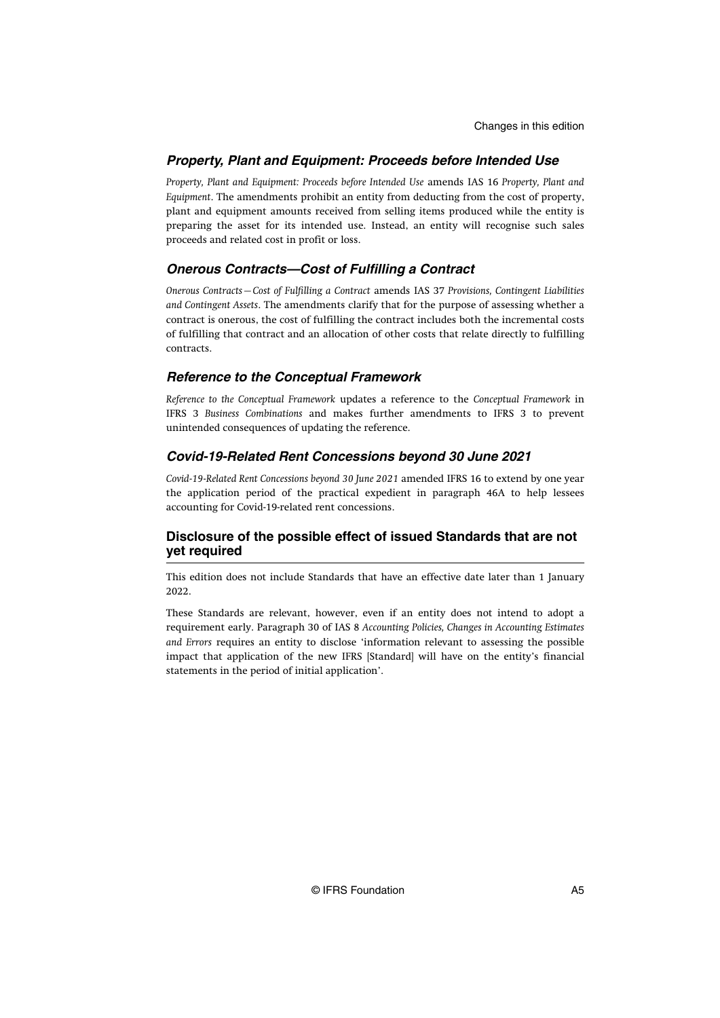# **Property, Plant and Equipment: Proceeds before Intended Use**

*Property, Plant and Equipment: Proceeds before Intended Use* amends IAS 16 *Property, Plant and Equipment*. The amendments prohibit an entity from deducting from the cost of property, plant and equipment amounts received from selling items produced while the entity is preparing the asset for its intended use. Instead, an entity will recognise such sales proceeds and related cost in profit or loss.

# **Onerous Contracts—Cost of Fulfilling a Contract**

*Onerous Contracts—Cost of Fulfilling a Contract* amends IAS 37 *Provisions, Contingent Liabilities and Contingent Assets*. The amendments clarify that for the purpose of assessing whether a contract is onerous, the cost of fulfilling the contract includes both the incremental costs of fulfilling that contract and an allocation of other costs that relate directly to fulfilling contracts.

# **Reference to the Conceptual Framework**

*Reference to the Conceptual Framework* updates a reference to the *Conceptual Framework* in IFRS 3 *Business Combinations* and makes further amendments to IFRS 3 to prevent unintended consequences of updating the reference.

# **Covid-19-Related Rent Concessions beyond 30 June 2021**

*Covid-19-Related Rent Concessions beyond 30 June 2021* amended IFRS 16 to extend by one year the application period of the practical expedient in paragraph 46A to help lessees accounting for Covid-19-related rent concessions.

# **Disclosure of the possible effect of issued Standards that are not yet required**

This edition does not include Standards that have an effective date later than 1 January 2022.

These Standards are relevant, however, even if an entity does not intend to adopt a requirement early. Paragraph 30 of IAS 8 *Accounting Policies, Changes in Accounting Estimates and Errors* requires an entity to disclose 'information relevant to assessing the possible impact that application of the new IFRS [Standard] will have on the entity's financial statements in the period of initial application'.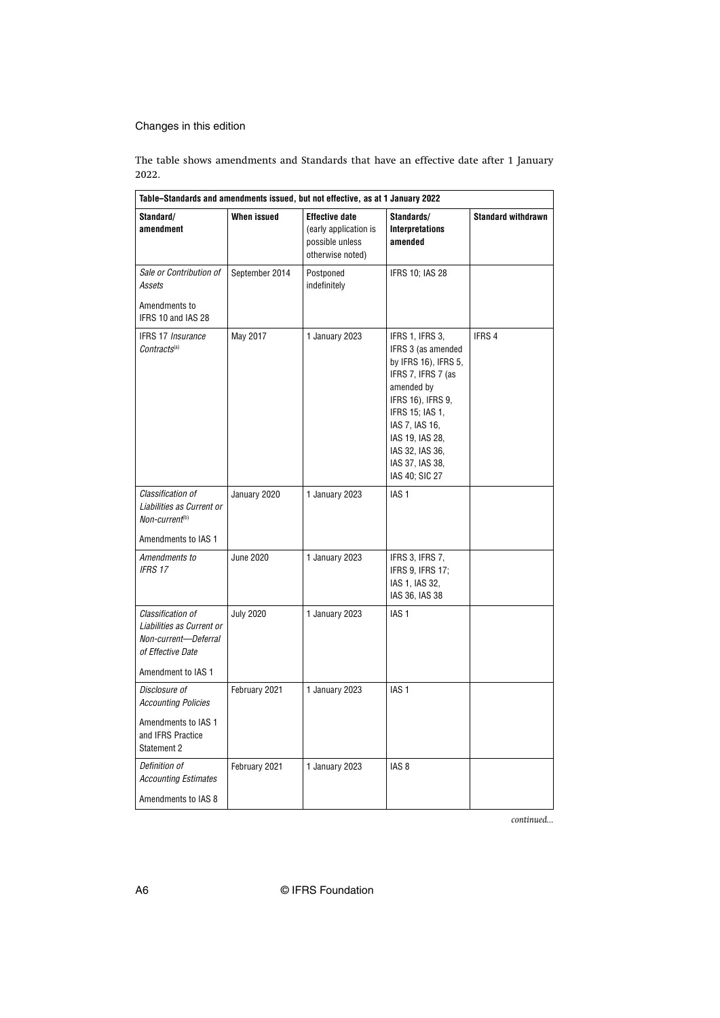The table shows amendments and Standards that have an effective date after 1 January 2022.

| Table-Standards and amendments issued, but not effective, as at 1 January 2022                                    |                  |                                                                                       |                                                                                                                                                                                                                                        |                           |
|-------------------------------------------------------------------------------------------------------------------|------------------|---------------------------------------------------------------------------------------|----------------------------------------------------------------------------------------------------------------------------------------------------------------------------------------------------------------------------------------|---------------------------|
| Standard/<br>amendment                                                                                            | When issued      | <b>Effective date</b><br>(early application is<br>possible unless<br>otherwise noted) | Standards/<br><b>Interpretations</b><br>amended                                                                                                                                                                                        | <b>Standard withdrawn</b> |
| Sale or Contribution of<br>Assets                                                                                 | September 2014   | Postponed<br>indefinitely                                                             | <b>IFRS 10; IAS 28</b>                                                                                                                                                                                                                 |                           |
| Amendments to<br>IFRS 10 and IAS 28                                                                               |                  |                                                                                       |                                                                                                                                                                                                                                        |                           |
| <b>IFRS 17 Insurance</b><br>Contracts <sup>(a)</sup>                                                              | May 2017         | 1 January 2023                                                                        | IFRS 1, IFRS 3,<br>IFRS 3 (as amended<br>by IFRS 16), IFRS 5,<br>IFRS 7, IFRS 7 (as<br>amended by<br>IFRS 16), IFRS 9,<br>IFRS 15; IAS 1,<br>IAS 7, IAS 16,<br>IAS 19, IAS 28,<br>IAS 32, IAS 36,<br>IAS 37, IAS 38,<br>IAS 40; SIC 27 | IFRS 4                    |
| Classification of<br>Liabilities as Current or<br>Non-current <sup>(b)</sup><br>Amendments to IAS 1               | January 2020     | 1 January 2023                                                                        | IAS <sub>1</sub>                                                                                                                                                                                                                       |                           |
| Amendments to<br><b>IFRS 17</b>                                                                                   | <b>June 2020</b> | 1 January 2023                                                                        | IFRS 3, IFRS 7,<br>IFRS 9, IFRS 17:<br>IAS 1, IAS 32,<br>IAS 36, IAS 38                                                                                                                                                                |                           |
| Classification of<br>Liabilities as Current or<br>Non-current-Deferral<br>of Effective Date<br>Amendment to IAS 1 | <b>July 2020</b> | 1 January 2023                                                                        | IAS <sub>1</sub>                                                                                                                                                                                                                       |                           |
| Disclosure of<br><b>Accounting Policies</b><br>Amendments to IAS 1<br>and IFRS Practice<br>Statement 2            | February 2021    | 1 January 2023                                                                        | IAS <sub>1</sub>                                                                                                                                                                                                                       |                           |
| Definition of<br><b>Accounting Estimates</b><br>Amendments to IAS 8                                               | February 2021    | 1 January 2023                                                                        | IAS <sub>8</sub>                                                                                                                                                                                                                       |                           |

*continued...*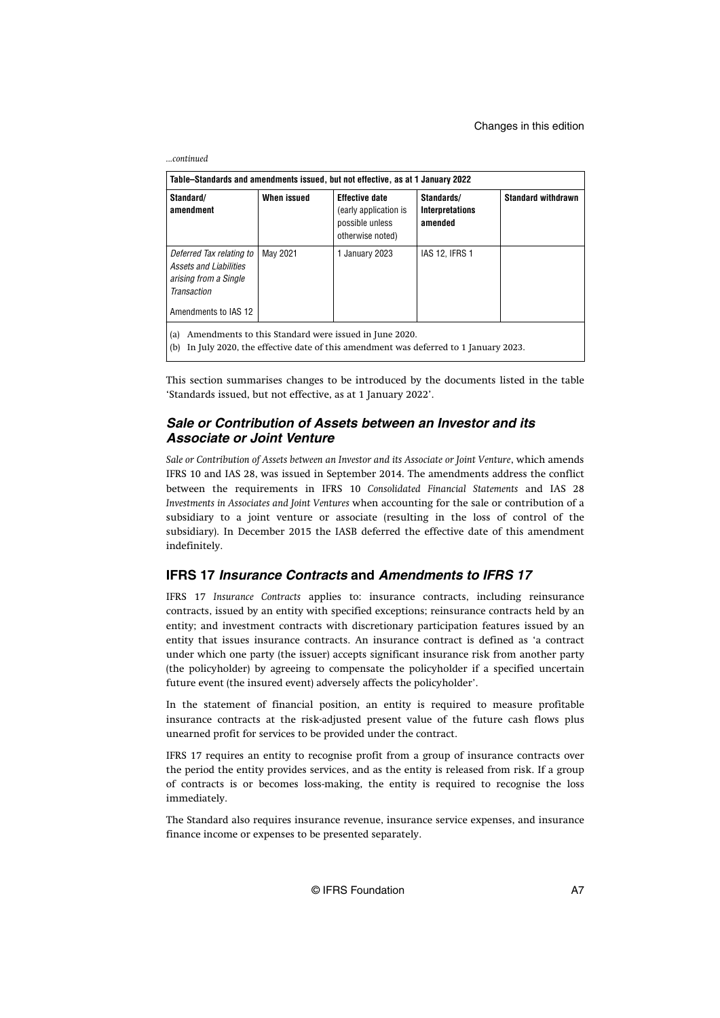| Table–Standards and amendments issued, but not effective, as at 1 January 2022                                                                            |             |                                                                                       |                                                 |                           |
|-----------------------------------------------------------------------------------------------------------------------------------------------------------|-------------|---------------------------------------------------------------------------------------|-------------------------------------------------|---------------------------|
| Standard/<br>amendment                                                                                                                                    | When issued | <b>Effective date</b><br>(early application is<br>possible unless<br>otherwise noted) | Standards/<br><b>Interpretations</b><br>amended | <b>Standard withdrawn</b> |
| Deferred Tax relating to<br>Assets and Liabilities<br>arising from a Single<br>Transaction<br>Amendments to IAS 12                                        | May 2021    | 1 January 2023                                                                        | <b>IAS 12, IFRS 1</b>                           |                           |
| Amendments to this Standard were issued in June 2020.<br>(a)<br>In July 2020, the effective date of this amendment was deferred to 1 January 2023.<br>(b) |             |                                                                                       |                                                 |                           |

This section summarises changes to be introduced by the documents listed in the table 'Standards issued, but not effective, as at 1 January 2022'.

#### **Sale or Contribution of Assets between an Investor and its Associate or Joint Venture**

Sale or Contribution of Assets between an Investor and its Associate or Joint Venture, which amends IFRS 10 and IAS 28, was issued in September 2014. The amendments address the conflict between the requirements in IFRS 10 *Consolidated Financial Statements* and IAS 28 *Investments in Associates and Joint Ventures* when accounting for the sale or contribution of a subsidiary to a joint venture or associate (resulting in the loss of control of the subsidiary). In December 2015 the IASB deferred the effective date of this amendment indefinitely.

#### **IFRS 17 Insurance Contracts and Amendments to IFRS 17**

IFRS 17 *Insurance Contracts* applies to: insurance contracts, including reinsurance contracts, issued by an entity with specified exceptions; reinsurance contracts held by an entity; and investment contracts with discretionary participation features issued by an entity that issues insurance contracts. An insurance contract is defined as 'a contract under which one party (the issuer) accepts significant insurance risk from another party (the policyholder) by agreeing to compensate the policyholder if a specified uncertain future event (the insured event) adversely affects the policyholder'.

In the statement of financial position, an entity is required to measure profitable insurance contracts at the risk-adjusted present value of the future cash flows plus unearned profit for services to be provided under the contract.

IFRS 17 requires an entity to recognise profit from a group of insurance contracts over the period the entity provides services, and as the entity is released from risk. If a group of contracts is or becomes loss-making, the entity is required to recognise the loss immediately.

The Standard also requires insurance revenue, insurance service expenses, and insurance finance income or expenses to be presented separately.